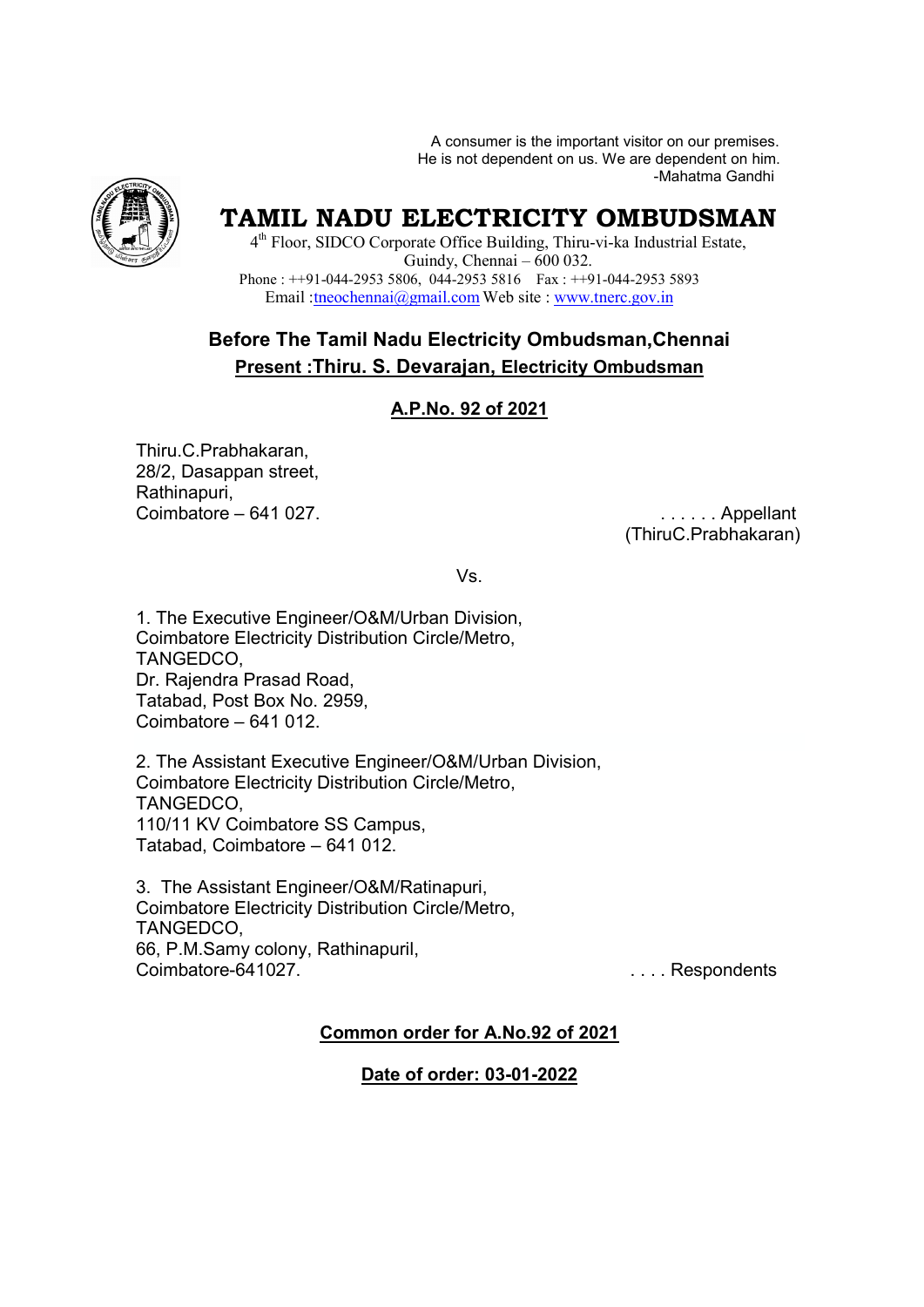A consumer is the important visitor on our premises. He is not dependent on us. We are dependent on him. or on our premises.<br>dependent on him<br>-Mahatma Gandhi



# **TAMIL NADU ELECTRICITY OMBUDSMAN**

4<sup>th</sup> Floor, SIDCO Corporate Office Building, Thiru-vi-ka Industrial Estate, Phone :  $++91-044-29535806$ , 044-29535816 Fax :  $++91-044-29535893$ Email : theochennai@gmail.com Web site : www.tnerc.gov.in Guindy, Chennai – 600 032.

## **Before The Tamil Nadu Electricity Ombudsman,Chennai Present :Thiru. S. Devarajan, Devarajan, Electricity Ombudsman**

### **A.P.No. 92 of 2021**

Thiru.C.Prabhakaran, 28/2, Dasappan street, Rathinapuri, Coimbatore – 641 027.

 (Thiru ThiruC.Prabhakaran) . . . . . . Appellant

Vs.

1. The Executive Engineer/O&M/Urban Division, Coimbatore Electricity Distribution Circle/Metro, TANGEDCO, Dr. Rajendra Prasad Road, Tatabad, Post Box No. 2959, Coimbatore – 641 012.

2. The Assistant Executive Engineer/O&M/Urban Division, Coimbatore Electricity Distribution Circle/Metro, TANGEDCO, 110/11 KV Coimbatore SS Campus, Tatabad, Coimbatore – Box No. 2959,<br>541 012.<br>nt Executive Engin<br>ectricity Distributior<br>mbatore SS Camp<br>batore – 641 012.

3. The Assistant Engineer/O&M/Ratinapuri, Coimbatore Electricity Distribution Circle/Metro, TANGEDCO, 66, P.M.Samy colony, Rathinapuril, Coimbatore-641027.

. . . . Respondent Respondents

#### **Common order for A.No.92 of 2021**

**Date of order: 03-01-2022**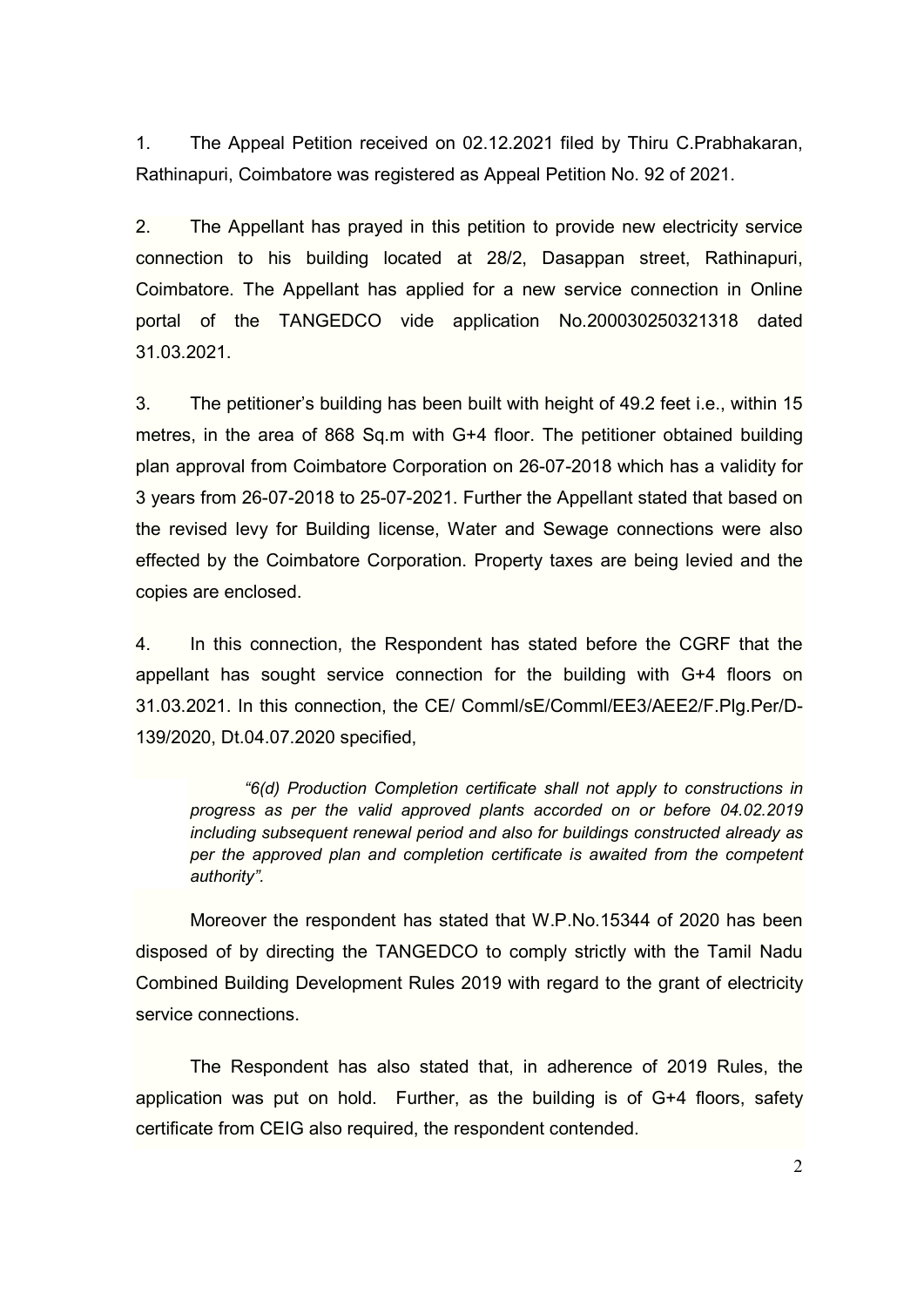1. The Appeal Petition received on 02.12.2021 filed by Thiru C.Prabhakaran, Rathinapuri, Coimbatore was registered as Appeal Petition No. 92 of 2021.

2. The Appellant has prayed in this petition to provide new electricity service connection to his building located at 28/2, Dasappan street, Rathinapuri, Coimbatore. The Appellant has applied for a new service connection in Online portal of the TANGEDCO vide application No.200030250321318 dated 31.03.2021.

3. The petitioner's building has been built with height of 49.2 feet i.e., within 15 metres, in the area of 868 Sq.m with G+4 floor. The petitioner obtained building plan approval from Coimbatore Corporation on 26-07-2018 which has a validity for 3 years from 26-07-2018 to 25-07-2021. Further the Appellant stated that based on the revised levy for Building license, Water and Sewage connections were also effected by the Coimbatore Corporation. Property taxes are being levied and the copies are enclosed.

4. In this connection, the Respondent has stated before the CGRF that the appellant has sought service connection for the building with G+4 floors on 31.03.2021. In this connection, the CE/ Comml/sE/Comml/EE3/AEE2/F.Plg.Per/D-139/2020, Dt.04.07.2020 specified,

*"6(d) Production Completion certificate shall not apply to constructions in progress as per the valid approved plants accorded on or before 04.02.2019 including subsequent renewal period and also for buildings constructed already as per the approved plan and completion certificate is awaited from the competent authority".*

Moreover the respondent has stated that W.P.No.15344 of 2020 has been disposed of by directing the TANGEDCO to comply strictly with the Tamil Nadu Combined Building Development Rules 2019 with regard to the grant of electricity service connections.

The Respondent has also stated that, in adherence of 2019 Rules, the application was put on hold. Further, as the building is of G+4 floors, safety certificate from CEIG also required, the respondent contended.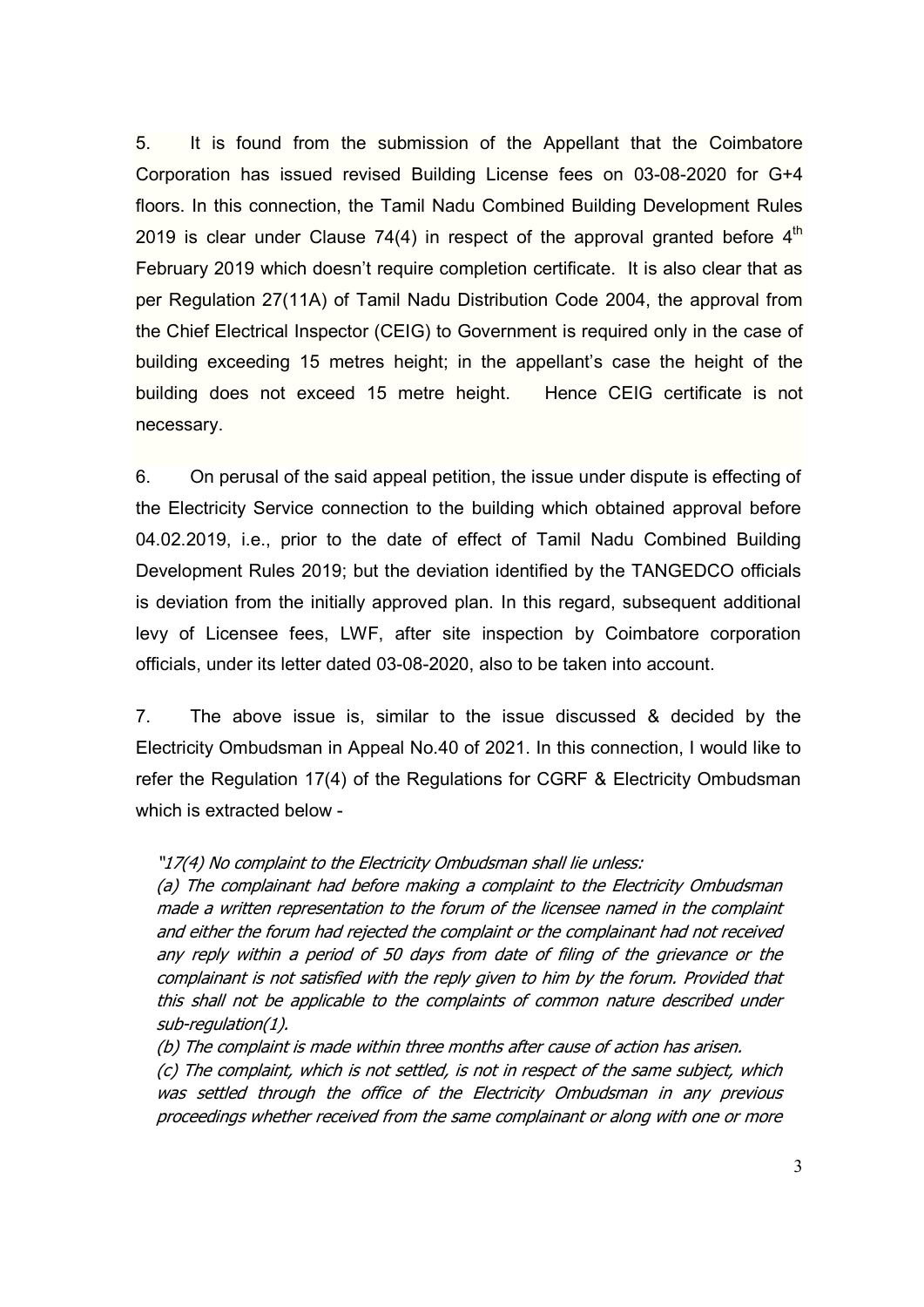5. It is found from the submission of the Appellant that the Coimbatore Corporation has issued revised Building License fees on 03-08-2020 for G+4 floors. In this connection, the Tamil Nadu Combined Building Development Rules 2019 is clear under Clause 74(4) in respect of the approval granted before  $4<sup>th</sup>$ February 2019 which doesn't require completion certificate. It is also clear that as per Regulation 27(11A) of Tamil Nadu Distribution Code 2004, the approval from the Chief Electrical Inspector (CEIG) to Government is required only in the case of building exceeding 15 metres height; in the appellant's case the height of the building does not exceed 15 metre height. Hence CEIG certificate is not necessary.

6. On perusal of the said appeal petition, the issue under dispute is effecting of the Electricity Service connection to the building which obtained approval before 04.02.2019, i.e., prior to the date of effect of Tamil Nadu Combined Building Development Rules 2019; but the deviation identified by the TANGEDCO officials is deviation from the initially approved plan. In this regard, subsequent additional levy of Licensee fees, LWF, after site inspection by Coimbatore corporation officials, under its letter dated 03-08-2020, also to be taken into account.

7. The above issue is, similar to the issue discussed & decided by the Electricity Ombudsman in Appeal No.40 of 2021. In this connection, I would like to refer the Regulation 17(4) of the Regulations for CGRF & Electricity Ombudsman which is extracted below -

#### "17(4) No complaint to the Electricity Ombudsman shall lie unless:

(a) The complainant had before making a complaint to the Electricity Ombudsman made a written representation to the forum of the licensee named in the complaint and either the forum had rejected the complaint or the complainant had not received any reply within a period of 50 days from date of filing of the grievance or the complainant is not satisfied with the reply given to him by the forum. Provided that this shall not be applicable to the complaints of common nature described under sub-regulation(1).

(b) The complaint is made within three months after cause of action has arisen.

(c) The complaint, which is not settled, is not in respect of the same subject, which was settled through the office of the Electricity Ombudsman in any previous proceedings whether received from the same complainant or along with one or more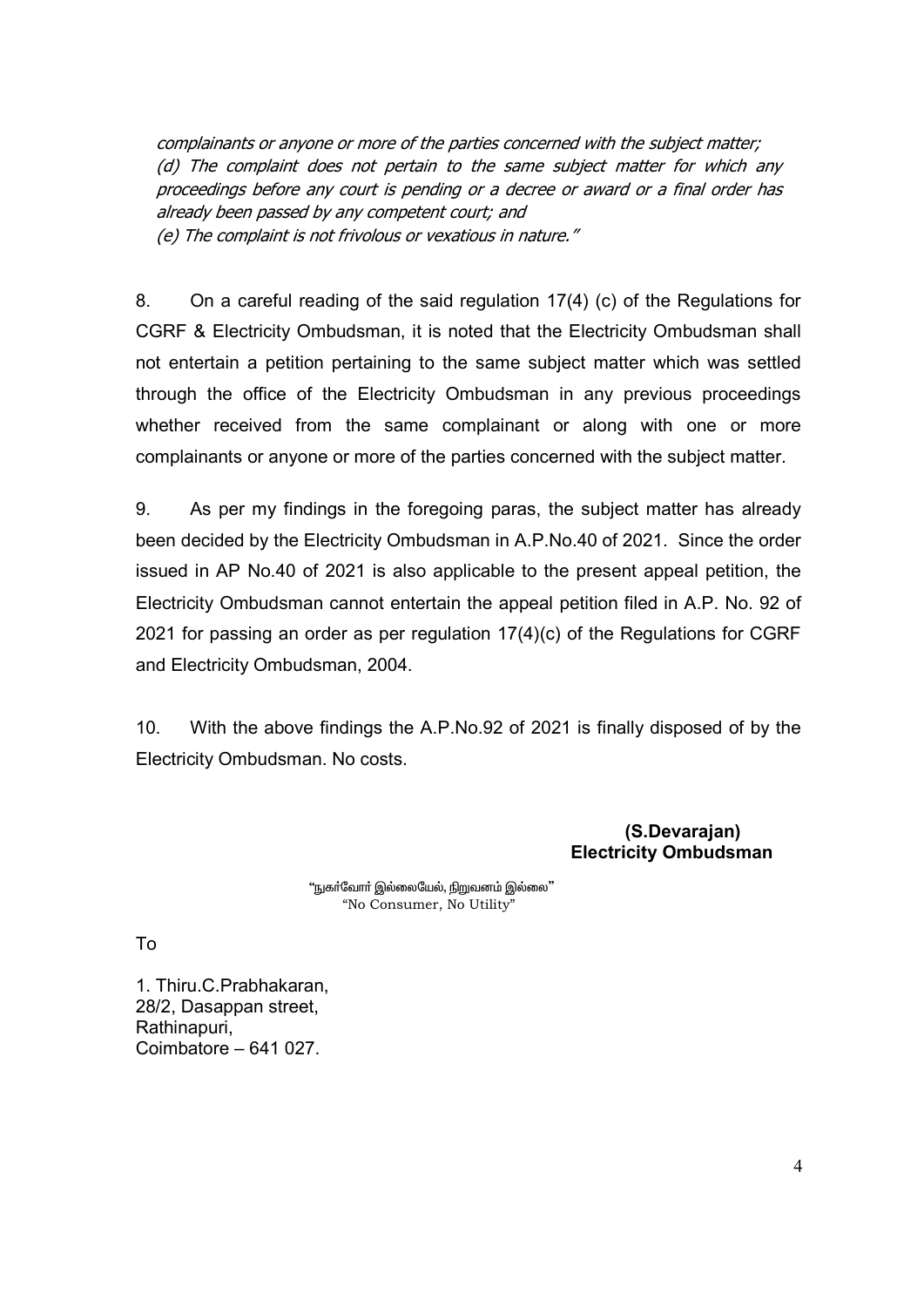complainants or anyone or more of the parties concerned with the subject matter; (d) The complaint does not pertain to the same subject matter for which any proceedings before any court is pending or a decree or award or a final order has already been passed by any competent court; and (e) The complaint is not frivolous or vexatious in nature."

8. On a careful reading of the said regulation 17(4) (c) of the Regulations for CGRF & Electricity Ombudsman, it is noted that the Electricity Ombudsman shall not entertain a petition pertaining to the same subject matter which was settled through the office of the Electricity Ombudsman in any previous proceedings whether received from the same complainant or along with one or more complainants or anyone or more of the parties concerned with the subject matter.

9. As per my findings in the foregoing paras, the subject matter has already been decided by the Electricity Ombudsman in A.P.No.40 of 2021. Since the order issued in AP No.40 of 2021 is also applicable to the present appeal petition, the Electricity Ombudsman cannot entertain the appeal petition filed in A.P. No. 92 of 2021 for passing an order as per regulation 17(4)(c) of the Regulations for CGRF and Electricity Ombudsman, 2004.

10. With the above findings the A.P.No.92 of 2021 is finally disposed of by the Electricity Ombudsman. No costs.

#### **(S.Devarajan) Electricity Ombudsman**

"நுகர்வோர் இல்லையேல், நிறுவனம் இல்லை" "No Consumer, No Utility"

To

1. Thiru.C.Prabhakaran, 28/2, Dasappan street, Rathinapuri, Coimbatore – 641 027.